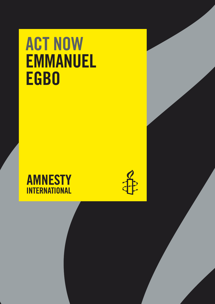# ACT NOW EMMANUEL EGBO